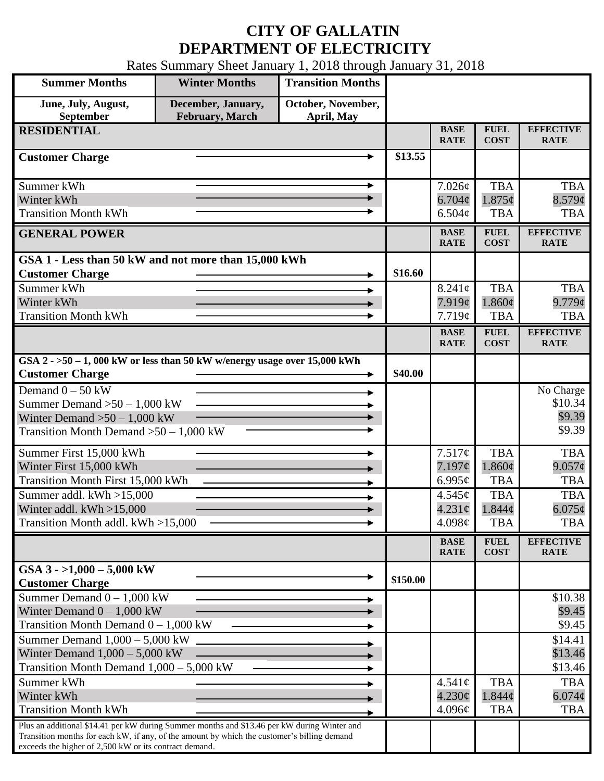## **CITY OF GALLATIN DEPARTMENT OF ELECTRICITY**

Rates Summary Sheet January 1, 2018 through January 31, 2018

| <b>Summer Months</b>                                                                                  | <b>Winter Months</b>                         | <b>Transition Months</b>         |          |                            |                            |                                 |
|-------------------------------------------------------------------------------------------------------|----------------------------------------------|----------------------------------|----------|----------------------------|----------------------------|---------------------------------|
| June, July, August,<br><b>September</b>                                                               | December, January,<br><b>February, March</b> | October, November,<br>April, May |          |                            |                            |                                 |
| <b>RESIDENTIAL</b>                                                                                    |                                              |                                  |          | <b>BASE</b><br><b>RATE</b> | <b>FUEL</b><br><b>COST</b> | <b>EFFECTIVE</b><br><b>RATE</b> |
| <b>Customer Charge</b>                                                                                |                                              |                                  | \$13.55  |                            |                            |                                 |
| Summer kWh                                                                                            |                                              | ►                                |          | $7.026\phi$                | <b>TBA</b>                 | <b>TBA</b>                      |
| Winter kWh                                                                                            |                                              |                                  |          | $6.704\phi$                | $1.875\phi$                | $8.579$ ¢                       |
| <b>Transition Month kWh</b>                                                                           |                                              |                                  |          | 6.504c                     | <b>TBA</b>                 | <b>TBA</b>                      |
| <b>GENERAL POWER</b>                                                                                  |                                              |                                  |          | <b>BASE</b><br><b>RATE</b> | <b>FUEL</b><br><b>COST</b> | <b>EFFECTIVE</b><br><b>RATE</b> |
| GSA 1 - Less than 50 kW and not more than 15,000 kWh                                                  |                                              |                                  |          |                            |                            |                                 |
| <b>Customer Charge</b>                                                                                |                                              |                                  | \$16.60  |                            |                            |                                 |
| Summer kWh                                                                                            |                                              |                                  |          | $8.241\phi$                | <b>TBA</b>                 | <b>TBA</b>                      |
| Winter kWh                                                                                            |                                              |                                  |          | 7.919¢                     | $1.860\phi$                | $9.779$ ¢                       |
| <b>Transition Month kWh</b>                                                                           |                                              |                                  |          | 7.719¢                     | <b>TBA</b>                 | <b>TBA</b>                      |
|                                                                                                       |                                              |                                  |          | <b>BASE</b><br><b>RATE</b> | <b>FUEL</b><br><b>COST</b> | <b>EFFECTIVE</b><br><b>RATE</b> |
| GSA $2 - 50 - 1$ , 000 kW or less than 50 kW w/energy usage over 15,000 kWh<br><b>Customer Charge</b> |                                              |                                  | \$40.00  |                            |                            |                                 |
| Demand $0 - 50$ kW                                                                                    |                                              |                                  |          |                            |                            |                                 |
| Summer Demand $>50 - 1,000$ kW                                                                        |                                              |                                  |          |                            |                            | No Charge<br>\$10.34            |
| Winter Demand $>50 - 1,000$ kW                                                                        |                                              |                                  |          |                            |                            | \$9.39                          |
| Transition Month Demand $>50-1,000$ kW                                                                |                                              |                                  |          |                            |                            | \$9.39                          |
| Summer First 15,000 kWh                                                                               |                                              |                                  |          | 7.517¢                     | <b>TBA</b>                 | <b>TBA</b>                      |
| Winter First 15,000 kWh                                                                               |                                              |                                  |          | 7.197¢                     | $1.860\phi$                | $9.057\phi$                     |
| <b>Transition Month First 15,000 kWh</b>                                                              |                                              |                                  |          | 6.995 $\phi$               | <b>TBA</b>                 | <b>TBA</b>                      |
| Summer addl. kWh >15,000                                                                              |                                              |                                  |          | 4.545¢                     | <b>TBA</b>                 | <b>TBA</b>                      |
| Winter addl. $kWh > 15,000$                                                                           |                                              |                                  |          | $4.231\phi$                | 1.844c                     | $6.075\phi$                     |
| Transition Month addl. kWh >15,000                                                                    |                                              |                                  |          | 4.098 $\phi$               | <b>TBA</b>                 | <b>TBA</b>                      |
|                                                                                                       |                                              |                                  |          | <b>BASE</b><br><b>RATE</b> | <b>FUEL</b><br><b>COST</b> | <b>EFFECTIVE</b><br><b>RATE</b> |
| GSA $3 - 1,000 - 5,000$ kW                                                                            |                                              |                                  | \$150.00 |                            |                            |                                 |
| <b>Customer Charge</b>                                                                                |                                              |                                  |          |                            |                            |                                 |
| Summer Demand $0 - 1,000$ kW                                                                          |                                              |                                  |          |                            |                            | \$10.38<br>\$9.45               |
| Winter Demand $0 - 1,000$ kW<br>Transition Month Demand $0 - 1,000$ kW                                |                                              |                                  |          |                            |                            | \$9.45                          |
| Summer Demand $1,000 - 5,000$ kW                                                                      |                                              |                                  |          |                            |                            | \$14.41                         |
| Winter Demand $1,000 - 5,000$ kW                                                                      |                                              |                                  |          |                            |                            | \$13.46                         |
| Transition Month Demand $1,000 - 5,000$ kW                                                            |                                              |                                  |          |                            |                            | \$13.46                         |
| Summer kWh                                                                                            |                                              |                                  |          | $4.541\phi$                | <b>TBA</b>                 | <b>TBA</b>                      |
| Winter kWh                                                                                            |                                              |                                  |          | $4.230\phi$                | $1.844\phi$                | $6.074\phi$                     |
| <b>Transition Month kWh</b>                                                                           |                                              |                                  |          | 4.096¢                     | <b>TBA</b>                 | <b>TBA</b>                      |
| Plus an additional \$14.41 per kW during Summer months and \$13.46 per kW during Winter and           |                                              |                                  |          |                            |                            |                                 |
| Transition months for each kW, if any, of the amount by which the customer's billing demand           |                                              |                                  |          |                            |                            |                                 |
| exceeds the higher of 2,500 kW or its contract demand.                                                |                                              |                                  |          |                            |                            |                                 |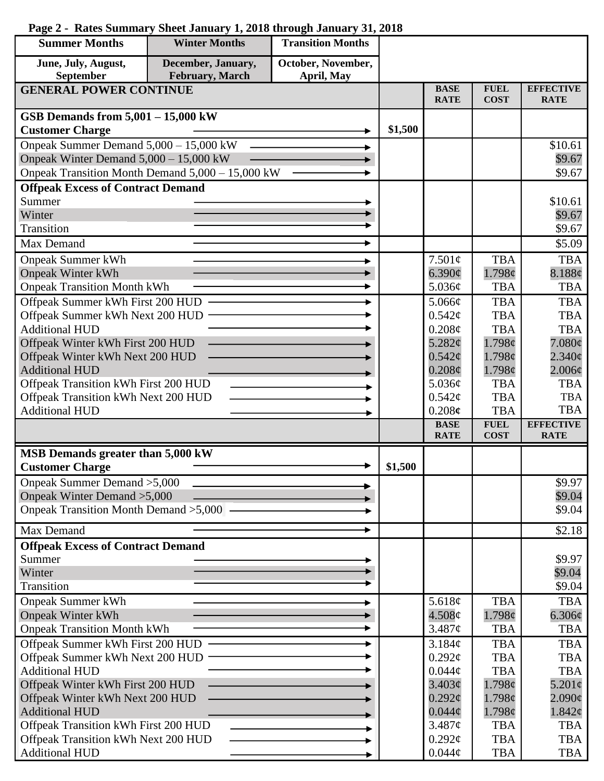| <b>Summer Months</b>                                   | <b>Winter Months</b> | <b>Transition Months</b> |         |                            |                            |                                 |
|--------------------------------------------------------|----------------------|--------------------------|---------|----------------------------|----------------------------|---------------------------------|
| June, July, August,                                    | December, January,   | October, November,       |         |                            |                            |                                 |
| September                                              | February, March      | April, May               |         |                            |                            |                                 |
| <b>GENERAL POWER CONTINUE</b>                          |                      |                          |         | <b>BASE</b><br><b>RATE</b> | <b>FUEL</b><br><b>COST</b> | <b>EFFECTIVE</b><br><b>RATE</b> |
| GSB Demands from $5,001 - 15,000$ kW                   |                      |                          |         |                            |                            |                                 |
| <b>Customer Charge</b>                                 |                      |                          | \$1,500 |                            |                            |                                 |
| Onpeak Summer Demand 5,000 - 15,000 kW                 |                      |                          |         |                            |                            | \$10.61                         |
| Onpeak Winter Demand 5,000 - 15,000 kW                 |                      |                          |         |                            |                            | \$9.67                          |
| Onpeak Transition Month Demand 5,000 - 15,000 kW       |                      |                          |         |                            |                            | \$9.67                          |
| <b>Offpeak Excess of Contract Demand</b>               |                      |                          |         |                            |                            |                                 |
| Summer                                                 |                      |                          |         |                            |                            | \$10.61                         |
| Winter                                                 |                      |                          |         |                            |                            | \$9.67                          |
| Transition                                             |                      |                          |         |                            |                            | \$9.67                          |
| Max Demand                                             |                      | ►                        |         |                            |                            | \$5.09                          |
| <b>Onpeak Summer kWh</b>                               |                      |                          |         | 7.501¢                     | <b>TBA</b>                 | <b>TBA</b>                      |
| <b>Onpeak Winter kWh</b>                               |                      |                          |         | 6.390¢                     | 1.798c                     | 8.188¢                          |
| <b>Onpeak Transition Month kWh</b>                     |                      |                          |         | 5.036¢                     | <b>TBA</b>                 | <b>TBA</b>                      |
| Offpeak Summer kWh First 200 HUD -                     |                      |                          |         | $5.066\mathcal{C}$         | <b>TBA</b>                 | <b>TBA</b>                      |
| Offpeak Summer kWh Next 200 HUD                        |                      |                          |         | $0.542\mathcal{C}$         | <b>TBA</b>                 | <b>TBA</b>                      |
| <b>Additional HUD</b>                                  |                      |                          |         | $0.208\phi$                | <b>TBA</b>                 | <b>TBA</b>                      |
| Offpeak Winter kWh First 200 HUD                       |                      |                          |         | 5.282 $\phi$               | 1.798c                     | $7.080\phi$                     |
| Offpeak Winter kWh Next 200 HUD                        |                      |                          |         | $0.542\epsilon$            | 1.798c                     | $2.340\epsilon$                 |
| <b>Additional HUD</b>                                  |                      |                          |         | $0.208\phi$                | 1.798¢                     | $2.006\phi$                     |
| Offpeak Transition kWh First 200 HUD                   |                      |                          |         | 5.036¢                     | <b>TBA</b>                 | <b>TBA</b>                      |
| Offpeak Transition kWh Next 200 HUD                    |                      |                          |         | $0.542\mathcal{C}$         | <b>TBA</b>                 | <b>TBA</b>                      |
| <b>Additional HUD</b>                                  |                      |                          |         | 0.208c                     | <b>TBA</b>                 | <b>TBA</b>                      |
|                                                        |                      |                          |         | <b>BASE</b><br><b>RATE</b> | <b>FUEL</b><br><b>COST</b> | <b>EFFECTIVE</b><br><b>RATE</b> |
| MSB Demands greater than 5,000 kW                      |                      |                          |         |                            |                            |                                 |
| <b>Customer Charge</b>                                 |                      |                          | \$1,500 |                            |                            |                                 |
| Onpeak Summer Demand > 5,000                           |                      |                          |         |                            |                            | \$9.97                          |
| Onpeak Winter Demand > 5,000                           |                      |                          |         |                            |                            | \$9.04                          |
| Onpeak Transition Month Demand > 5,000 -               |                      |                          |         |                            |                            | \$9.04                          |
|                                                        |                      |                          |         |                            |                            |                                 |
| Max Demand<br><b>Offpeak Excess of Contract Demand</b> |                      |                          |         |                            |                            | \$2.18                          |
| Summer                                                 |                      |                          |         |                            |                            | \$9.97                          |
| Winter                                                 |                      |                          |         |                            |                            | \$9.04                          |
| Transition                                             |                      |                          |         |                            |                            | \$9.04                          |
| <b>Onpeak Summer kWh</b>                               |                      |                          |         | 5.618 $\phi$               | <b>TBA</b>                 | <b>TBA</b>                      |
| <b>Onpeak Winter kWh</b>                               |                      |                          |         | $4.508\mathcal{C}$         | 1.798c                     | $6.306\phi$                     |
| <b>Onpeak Transition Month kWh</b>                     |                      |                          |         | 3.487¢                     | <b>TBA</b>                 | <b>TBA</b>                      |
| Offpeak Summer kWh First 200 HUD -                     |                      |                          |         | 3.184¢                     | <b>TBA</b>                 | <b>TBA</b>                      |
| Offpeak Summer kWh Next 200 HUD ·                      |                      |                          |         | $0.292\ell$                | <b>TBA</b>                 | <b>TBA</b>                      |
| <b>Additional HUD</b>                                  |                      |                          |         | $0.044\phi$                | <b>TBA</b>                 | <b>TBA</b>                      |
| Offpeak Winter kWh First 200 HUD                       |                      |                          |         | 3.403¢                     | 1.798c                     | $5.201\phi$                     |
| Offpeak Winter kWh Next 200 HUD                        |                      |                          |         | $0.292\ell$                | 1.798¢                     | $2.090\phi$                     |
| <b>Additional HUD</b>                                  |                      |                          |         | $0.044\phi$                | 1.798¢                     | 1.842¢                          |
| Offpeak Transition kWh First 200 HUD                   |                      |                          |         | 3.487¢                     | <b>TBA</b>                 | <b>TBA</b>                      |
| Offpeak Transition kWh Next 200 HUD                    |                      |                          |         | $0.292\ell$                | <b>TBA</b>                 | <b>TBA</b>                      |
| <b>Additional HUD</b>                                  |                      |                          |         | $0.044\phi$                | <b>TBA</b>                 | TBA                             |

## **Page 2 - Rates Summary Sheet January 1, 2018 through January 31, 2018**